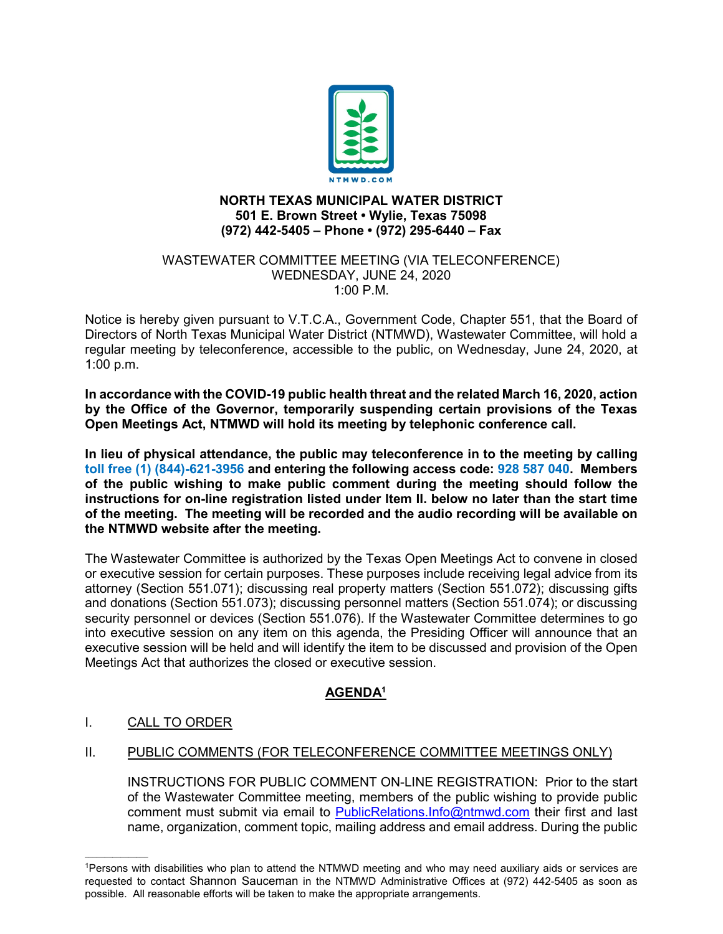

### **NORTH TEXAS MUNICIPAL WATER DISTRICT 501 E. Brown Street • Wylie, Texas 75098 (972) 442-5405 – Phone • (972) 295-6440 – Fax**

#### WASTEWATER COMMITTEE MEETING (VIA TELECONFERENCE) WEDNESDAY, JUNE 24, 2020 1:00 P.M.

Notice is hereby given pursuant to V.T.C.A., Government Code, Chapter 551, that the Board of Directors of North Texas Municipal Water District (NTMWD), Wastewater Committee, will hold a regular meeting by teleconference, accessible to the public, on Wednesday, June 24, 2020, at 1:00 p.m.

**In accordance with the COVID-19 public health threat and the related March 16, 2020, action by the Office of the Governor, temporarily suspending certain provisions of the Texas Open Meetings Act, NTMWD will hold its meeting by telephonic conference call.** 

**In lieu of physical attendance, the public may teleconference in to the meeting by calling toll free (1) (844)-621-3956 and entering the following access code: 928 587 040. Members of the public wishing to make public comment during the meeting should follow the instructions for on-line registration listed under Item II. below no later than the start time of the meeting. The meeting will be recorded and the audio recording will be available on the NTMWD website after the meeting.**

The Wastewater Committee is authorized by the Texas Open Meetings Act to convene in closed or executive session for certain purposes. These purposes include receiving legal advice from its attorney (Section 551.071); discussing real property matters (Section 551.072); discussing gifts and donations (Section 551.073); discussing personnel matters (Section 551.074); or discussing security personnel or devices (Section 551.076). If the Wastewater Committee determines to go into executive session on any item on this agenda, the Presiding Officer will announce that an executive session will be held and will identify the item to be discussed and provision of the Open Meetings Act that authorizes the closed or executive session.

# **AGENDA1**

## I. CALL TO ORDER

 $\mathcal{L}=\mathcal{L}^{\mathcal{L}}$ 

## II. PUBLIC COMMENTS (FOR TELECONFERENCE COMMITTEE MEETINGS ONLY)

INSTRUCTIONS FOR PUBLIC COMMENT ON-LINE REGISTRATION: Prior to the start of the Wastewater Committee meeting, members of the public wishing to provide public comment must submit via email to [PublicRelations.Info@ntmwd.com](mailto:PublicRelations.Info@ntmwd.com) their first and last name, organization, comment topic, mailing address and email address. During the public

<sup>1</sup>Persons with disabilities who plan to attend the NTMWD meeting and who may need auxiliary aids or services are requested to contact Shannon Sauceman in the NTMWD Administrative Offices at (972) 442-5405 as soon as possible. All reasonable efforts will be taken to make the appropriate arrangements.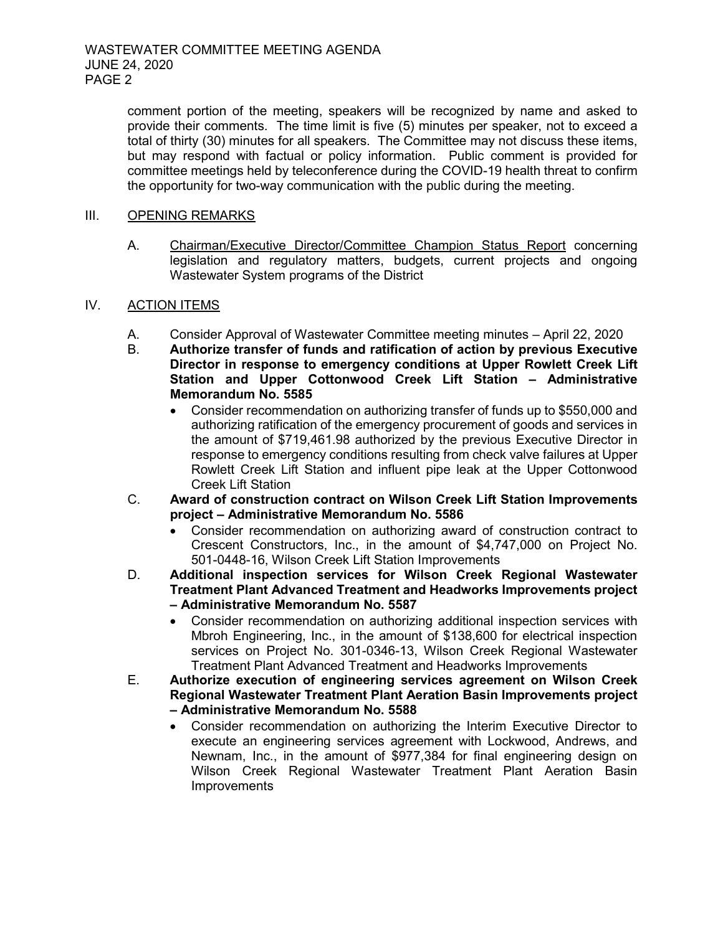comment portion of the meeting, speakers will be recognized by name and asked to provide their comments. The time limit is five (5) minutes per speaker, not to exceed a total of thirty (30) minutes for all speakers. The Committee may not discuss these items, but may respond with factual or policy information. Public comment is provided for committee meetings held by teleconference during the COVID-19 health threat to confirm the opportunity for two-way communication with the public during the meeting.

### III. OPENING REMARKS

A. Chairman/Executive Director/Committee Champion Status Report concerning legislation and regulatory matters, budgets, current projects and ongoing Wastewater System programs of the District

### IV. ACTION ITEMS

- A. Consider Approval of Wastewater Committee meeting minutes April 22, 2020<br>B. Authorize transfer of funds and ratification of action by previous Executiv
- B. **Authorize transfer of funds and ratification of action by previous Executive Director in response to emergency conditions at Upper Rowlett Creek Lift Station and Upper Cottonwood Creek Lift Station – Administrative Memorandum No. 5585**
	- Consider recommendation on authorizing transfer of funds up to \$550,000 and authorizing ratification of the emergency procurement of goods and services in the amount of \$719,461.98 authorized by the previous Executive Director in response to emergency conditions resulting from check valve failures at Upper Rowlett Creek Lift Station and influent pipe leak at the Upper Cottonwood Creek Lift Station
- C. **Award of construction contract on Wilson Creek Lift Station Improvements project – Administrative Memorandum No. 5586**
	- Consider recommendation on authorizing award of construction contract to Crescent Constructors, Inc., in the amount of \$4,747,000 on Project No. 501-0448-16, Wilson Creek Lift Station Improvements
- D. **Additional inspection services for Wilson Creek Regional Wastewater Treatment Plant Advanced Treatment and Headworks Improvements project – Administrative Memorandum No. 5587**
	- Consider recommendation on authorizing additional inspection services with Mbroh Engineering, Inc., in the amount of \$138,600 for electrical inspection services on Project No. 301-0346-13, Wilson Creek Regional Wastewater Treatment Plant Advanced Treatment and Headworks Improvements
- E. **Authorize execution of engineering services agreement on Wilson Creek Regional Wastewater Treatment Plant Aeration Basin Improvements project – Administrative Memorandum No. 5588**
	- Consider recommendation on authorizing the Interim Executive Director to execute an engineering services agreement with Lockwood, Andrews, and Newnam, Inc., in the amount of \$977,384 for final engineering design on Wilson Creek Regional Wastewater Treatment Plant Aeration Basin Improvements